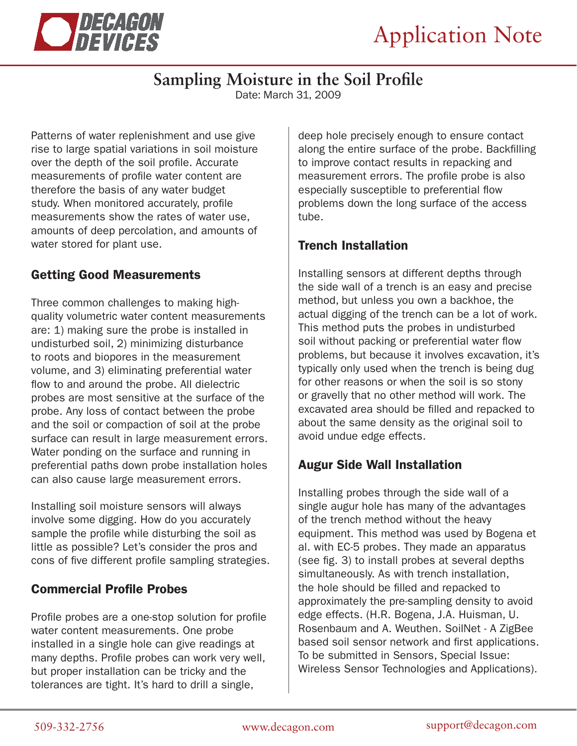

# **Sampling Moisture in the Soil Profile**

Date: March 31, 2009

Patterns of water replenishment and use give rise to large spatial variations in soil moisture over the depth of the soil profile. Accurate measurements of profile water content are therefore the basis of any water budget study. When monitored accurately, profile measurements show the rates of water use, amounts of deep percolation, and amounts of water stored for plant use.

### Getting Good Measurements

Three common challenges to making highquality volumetric water content measurements are: 1) making sure the probe is installed in undisturbed soil, 2) minimizing disturbance to roots and biopores in the measurement volume, and 3) eliminating preferential water flow to and around the probe. All dielectric probes are most sensitive at the surface of the probe. Any loss of contact between the probe and the soil or compaction of soil at the probe surface can result in large measurement errors. Water ponding on the surface and running in preferential paths down probe installation holes can also cause large measurement errors.

Installing soil moisture sensors will always involve some digging. How do you accurately sample the profile while disturbing the soil as little as possible? Let's consider the pros and cons of five different profile sampling strategies.

#### Commercial Profile Probes

Profile probes are a one-stop solution for profile water content measurements. One probe installed in a single hole can give readings at many depths. Profile probes can work very well, but proper installation can be tricky and the tolerances are tight. It's hard to drill a single,

deep hole precisely enough to ensure contact along the entire surface of the probe. Backfilling to improve contact results in repacking and measurement errors. The profile probe is also especially susceptible to preferential flow problems down the long surface of the access tube.

#### Trench Installation

Installing sensors at different depths through the side wall of a trench is an easy and precise method, but unless you own a backhoe, the actual digging of the trench can be a lot of work. This method puts the probes in undisturbed soil without packing or preferential water flow problems, but because it involves excavation, it's typically only used when the trench is being dug for other reasons or when the soil is so stony or gravelly that no other method will work. The excavated area should be filled and repacked to about the same density as the original soil to avoid undue edge effects.

## Augur Side Wall Installation

Installing probes through the side wall of a single augur hole has many of the advantages of the trench method without the heavy equipment. This method was used by Bogena et al. with EC-5 probes. They made an apparatus (see fig. 3) to install probes at several depths simultaneously. As with trench installation, the hole should be filled and repacked to approximately the pre-sampling density to avoid edge effects. (H.R. Bogena, J.A. Huisman, U. Rosenbaum and A. Weuthen. SoilNet - A ZigBee based soil sensor network and first applications. To be submitted in Sensors, Special Issue: Wireless Sensor Technologies and Applications).